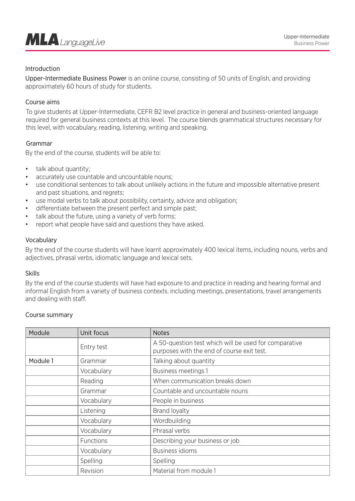

# Introduction

Upper-Intermediate Business Power is an online course, consisting of 50 units of English, and providing approximately 60 hours of study for students.

## Course aims

To give students at Upper-Intermediate, CEFR B2 level practice in general and business-oriented language required for general business contexts at this level. The course blends grammatical structures necessary for this level, with vocabulary, reading, listening, writing and speaking.

# Grammar

By the end of the course, students will be able to:

- talk about quantity;
- accurately use countable and uncountable nouns:
- use conditional sentences to talk about unlikely actions in the future and impossible alternative present and past situations, and regrets;
- use modal verbs to talk about possibility, certainty, advice and obligation;
- differentiate between the present perfect and simple past;
- talk about the future, using a variety of verb forms;
- report what people have said and questions they have asked.

### Vocabulary

By the end of the course students will have learnt approximately 400 lexical items, including nouns, verbs and adjectives, phrasal verbs, idiomatic language and lexical sets.

#### Skills

By the end of the course students will have had exposure to and practice in reading and hearing formal and informal English from a variety of business contexts. including meetings, presentations, travel arrangements and dealing with staff.

#### Course summary

| Module   | Unit focus | <b>Notes</b>                                                                                        |
|----------|------------|-----------------------------------------------------------------------------------------------------|
|          | Entry test | A 50-question test which will be used for comparative<br>purposes with the end of course exit test. |
| Module 1 | Grammar    | Talking about quantity                                                                              |
|          | Vocabulary | <b>Business meetings 1</b>                                                                          |
|          | Reading    | When communication breaks down                                                                      |
|          | Grammar    | Countable and uncountable nouns                                                                     |
|          | Vocabulary | People in business                                                                                  |
|          | Listening  | <b>Brand loyalty</b>                                                                                |
|          | Vocabulary | Wordbuilding                                                                                        |
|          | Vocabulary | Phrasal verbs                                                                                       |
|          | Functions  | Describing your business or job                                                                     |
|          | Vocabulary | <b>Business idioms</b>                                                                              |
|          | Spelling   | Spelling                                                                                            |
|          | Revision   | Material from module 1                                                                              |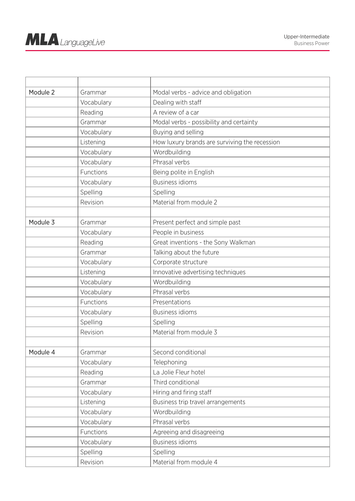| Module 2 | Grammar    | Modal verbs - advice and obligation           |
|----------|------------|-----------------------------------------------|
|          | Vocabulary | Dealing with staff                            |
|          | Reading    | A review of a car                             |
|          | Grammar    | Modal verbs - possibility and certainty       |
|          | Vocabulary | Buying and selling                            |
|          | Listening  | How luxury brands are surviving the recession |
|          | Vocabulary | Wordbuilding                                  |
|          | Vocabulary | Phrasal verbs                                 |
|          | Functions  | Being polite in English                       |
|          | Vocabulary | <b>Business idioms</b>                        |
|          | Spelling   | Spelling                                      |
|          | Revision   | Material from module 2                        |
|          |            |                                               |
| Module 3 | Grammar    | Present perfect and simple past               |
|          | Vocabulary | People in business                            |
|          | Reading    | Great inventions - the Sony Walkman           |
|          | Grammar    | Talking about the future                      |
|          | Vocabulary | Corporate structure                           |
|          | Listening  | Innovative advertising techniques             |
|          | Vocabulary | Wordbuilding                                  |
|          | Vocabulary | Phrasal verbs                                 |
|          | Functions  | Presentations                                 |
|          | Vocabulary | <b>Business idioms</b>                        |
|          | Spelling   | Spelling                                      |
|          | Revision   | Material from module 3                        |
|          |            |                                               |
| Module 4 | Grammar    | Second conditional                            |
|          | Vocabulary | Telephoning                                   |
|          | Reading    | La Jolie Fleur hotel                          |
|          | Grammar    | Third conditional                             |
|          | Vocabulary | Hiring and firing staff                       |
|          | Listening  | Business trip travel arrangements             |
|          | Vocabulary | Wordbuilding                                  |
|          | Vocabulary | Phrasal verbs                                 |
|          | Functions  | Agreeing and disagreeing                      |
|          | Vocabulary | <b>Business idioms</b>                        |
|          | Spelling   | Spelling                                      |
|          | Revision   | Material from module 4                        |